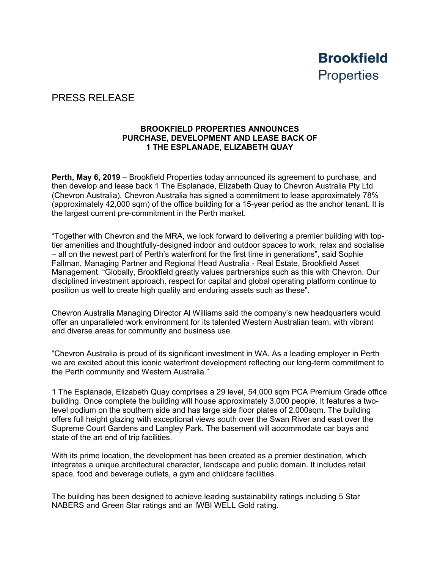

## PRESS RELEASE

## **BROOKFIELD PROPERTIES ANNOUNCES PURCHASE, DEVELOPMENT AND LEASE BACK OF 1 THE ESPLANADE, ELIZABETH QUAY**

**Perth, May 6, 2019** – Brookfield Properties today announced its agreement to purchase, and then develop and lease back 1 The Esplanade, Elizabeth Quay to Chevron Australia Pty Ltd (Chevron Australia). Chevron Australia has signed a commitment to lease approximately 78% (approximately 42,000 sqm) of the office building for a 15-year period as the anchor tenant. It is the largest current pre-commitment in the Perth market.

"Together with Chevron and the MRA, we look forward to delivering a premier building with toptier amenities and thoughtfully-designed indoor and outdoor spaces to work, relax and socialise – all on the newest part of Perth's waterfront for the first time in generations", said Sophie Fallman, Managing Partner and Regional Head Australia - Real Estate, Brookfield Asset Management. "Globally, Brookfield greatly values partnerships such as this with Chevron. Our disciplined investment approach, respect for capital and global operating platform continue to position us well to create high quality and enduring assets such as these".

Chevron Australia Managing Director Al Williams said the company's new headquarters would offer an unparalleled work environment for its talented Western Australian team, with vibrant and diverse areas for community and business use.

"Chevron Australia is proud of its significant investment in WA. As a leading employer in Perth we are excited about this iconic waterfront development reflecting our long-term commitment to the Perth community and Western Australia."

1 The Esplanade, Elizabeth Quay comprises a 29 level, 54,000 sqm PCA Premium Grade office building. Once complete the building will house approximately 3,000 people. It features a twolevel podium on the southern side and has large side floor plates of 2,000sqm. The building offers full height glazing with exceptional views south over the Swan River and east over the Supreme Court Gardens and Langley Park. The basement will accommodate car bays and state of the art end of trip facilities.

With its prime location, the development has been created as a premier destination, which integrates a unique architectural character, landscape and public domain. It includes retail space, food and beverage outlets, a gym and childcare facilities.

The building has been designed to achieve leading sustainability ratings including 5 Star NABERS and Green Star ratings and an IWBI WELL Gold rating.